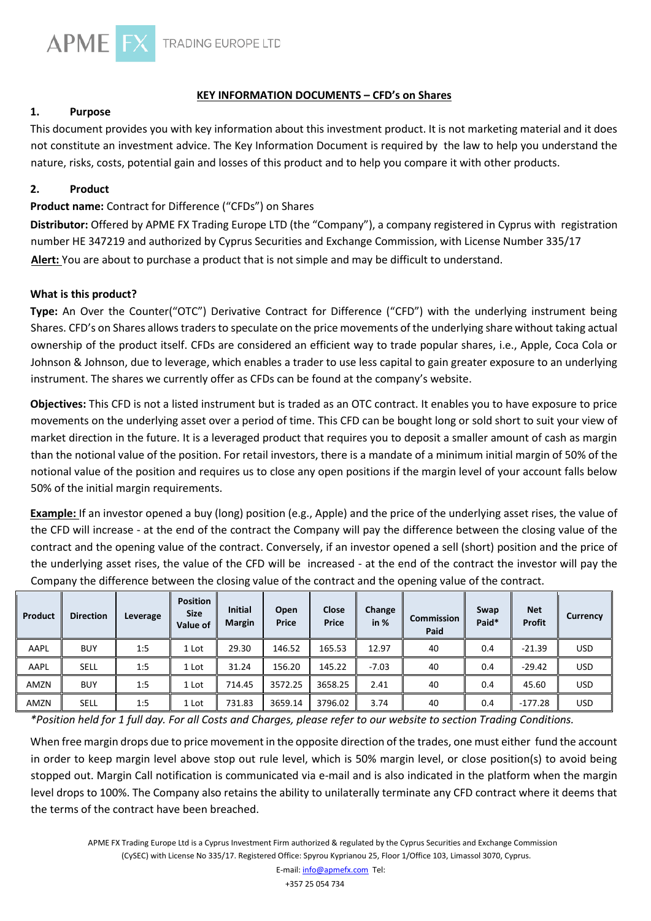

## **KEY INFORMATION DOCUMENTS – CFD's on Shares**

## **1. Purpose**

This document provides you with key information about this investment product. It is not marketing material and it does not constitute an investment advice. The Key Information Document is required by the law to help you understand the nature, risks, costs, potential gain and losses of this product and to help you compare it with other products.

## **2. Product**

## **Product name:** Contract for Difference ("CFDs") on Shares

**Distributor:** Offered by APME FX Trading Europe LTD (the "Company"), a company registered in Cyprus with registration number HE 347219 and authorized by Cyprus Securities and Exchange Commission, with License Number 335/17 **Alert:** You are about to purchase a product that is not simple and may be difficult to understand.

#### **What is this product?**

**Type:** An Over the Counter("OTC") Derivative Contract for Difference ("CFD") with the underlying instrument being Shares. CFD's on Shares allows traders to speculate on the price movements of the underlying share without taking actual ownership of the product itself. CFDs are considered an efficient way to trade popular shares, i.e., Apple, Coca Cola or Johnson & Johnson, due to leverage, which enables a trader to use less capital to gain greater exposure to an underlying instrument. The shares we currently offer as CFDs can be found at the company's website.

**Objectives:** This CFD is not a listed instrument but is traded as an OTC contract. It enables you to have exposure to price movements on the underlying asset over a period of time. This CFD can be bought long or sold short to suit your view of market direction in the future. It is a leveraged product that requires you to deposit a smaller amount of cash as margin than the notional value of the position. For retail investors, there is a mandate of a minimum initial margin of 50% of the notional value of the position and requires us to close any open positions if the margin level of your account falls below 50% of the initial margin requirements.

**Example:** If an investor opened a buy (long) position (e.g., Apple) and the price of the underlying asset rises, the value of the CFD will increase - at the end of the contract the Company will pay the difference between the closing value of the contract and the opening value of the contract. Conversely, if an investor opened a sell (short) position and the price of the underlying asset rises, the value of the CFD will be increased - at the end of the contract the investor will pay the Company the difference between the closing value of the contract and the opening value of the contract.

| Product | <b>Direction</b> | Leverage | <b>Position</b><br><b>Size</b><br>Value of | <b>Initial</b><br><b>Margin</b> | Open<br><b>Price</b> | Close<br><b>Price</b> | Change<br>in $%$ | <b>Commission</b><br>Paid | Swap<br>Paid* | <b>Net</b><br>Profit | Currency |
|---------|------------------|----------|--------------------------------------------|---------------------------------|----------------------|-----------------------|------------------|---------------------------|---------------|----------------------|----------|
| AAPL    | <b>BUY</b>       | 1:5      | 1 Lot                                      | 29.30                           | 146.52               | 165.53                | 12.97            | 40                        | 0.4           | $-21.39$             | USD.     |
| AAPL    | SELL             | 1:5      | 1 Lot                                      | 31.24                           | 156.20               | 145.22                | $-7.03$          | 40                        | 0.4           | $-29.42$             | USD.     |
| AMZN    | <b>BUY</b>       | 1:5      | 1 Lot                                      | 714.45                          | 3572.25              | 3658.25               | 2.41             | 40                        | 0.4           | 45.60                | USD      |
| AMZN    | <b>SELL</b>      | 1:5      | 1 Lot                                      | 731.83                          | 3659.14              | 3796.02               | 3.74             | 40                        | 0.4           | $-177.28$            | USD.     |

*\*Position held for 1 full day. For all Costs and Charges, please refer to our website to section Trading Conditions.* 

When free margin drops due to price movement in the opposite direction of the trades, one must either fund the account in order to keep margin level above stop out rule level, which is 50% margin level, or close position(s) to avoid being stopped out. Margin Call notification is communicated via e-mail and is also indicated in the platform when the margin level drops to 100%. The Company also retains the ability to unilaterally terminate any CFD contract where it deems that the terms of the contract have been breached.

APME FX Trading Europe Ltd is a Cyprus Investment Firm authorized & regulated by the Cyprus Securities and Exchange Commission (CySEC) with License No 335/17. Registered Office: Spyrou Kyprianou 25, Floor 1/Office 103, Limassol 3070, Cyprus.

+357 25 054 734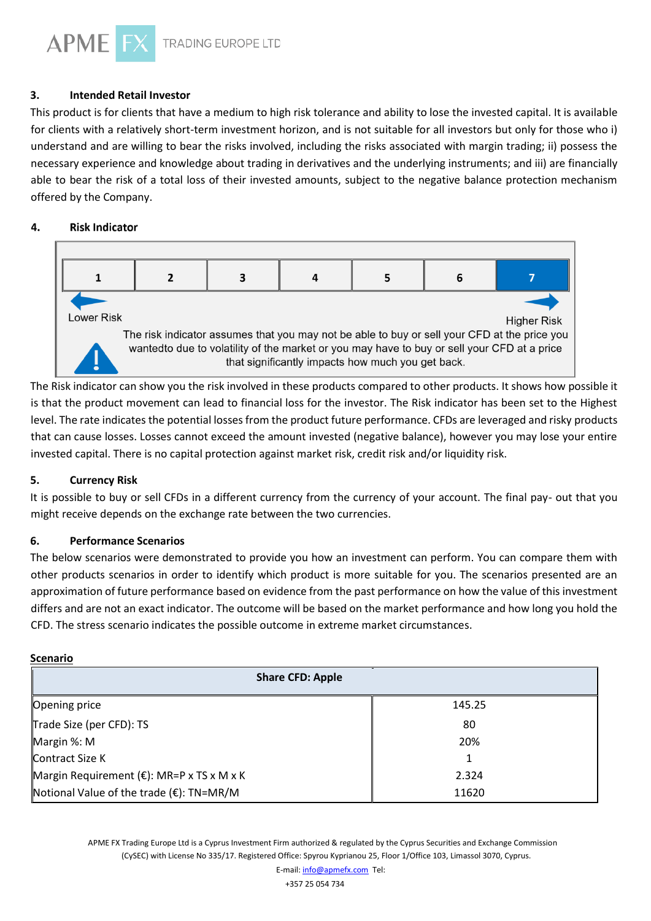TRADING EUROPE LTD

# **3. Intended Retail Investor**

This product is for clients that have a medium to high risk tolerance and ability to lose the invested capital. It is available for clients with a relatively short-term investment horizon, and is not suitable for all investors but only for those who i) understand and are willing to bear the risks involved, including the risks associated with margin trading; ii) possess the necessary experience and knowledge about trading in derivatives and the underlying instruments; and iii) are financially able to bear the risk of a total loss of their invested amounts, subject to the negative balance protection mechanism offered by the Company.

#### 4. **Risk Indicator**

**APME** 



The Risk indicator can show you the risk involved in these products compared to other products. It shows how possible it is that the product movement can lead to financial loss for the investor. The Risk indicator has been set to the Highest level. The rate indicates the potential losses from the product future performance. CFDs are leveraged and risky products that can cause losses. Losses cannot exceed the amount invested (negative balance), however you may lose your entire invested capital. There is no capital protection against market risk, credit risk and/or liquidity risk.

# **5. Currency Risk**

It is possible to buy or sell CFDs in a different currency from the currency of your account. The final pay- out that you might receive depends on the exchange rate between the two currencies.

#### **6. Performance Scenarios**

The below scenarios were demonstrated to provide you how an investment can perform. You can compare them with other products scenarios in order to identify which product is more suitable for you. The scenarios presented are an approximation of future performance based on evidence from the past performance on how the value of this investment differs and are not an exact indicator. The outcome will be based on the market performance and how long you hold the CFD. The stress scenario indicates the possible outcome in extreme market circumstances.

#### **Scenario**

| <b>Share CFD: Apple</b>                              |        |  |  |  |  |
|------------------------------------------------------|--------|--|--|--|--|
| Opening price                                        | 145.25 |  |  |  |  |
| Trade Size (per CFD): TS                             | 80     |  |  |  |  |
| Margin %: M                                          | 20%    |  |  |  |  |
| <b>Contract Size K</b>                               | 1      |  |  |  |  |
| Margin Requirement ( $\epsilon$ ): MR=P x TS x M x K | 2.324  |  |  |  |  |
| Notional Value of the trade $(\epsilon)$ : TN=MR/M   | 11620  |  |  |  |  |

APME FX Trading Europe Ltd is a Cyprus Investment Firm authorized & regulated by the Cyprus Securities and Exchange Commission (CySEC) with License No 335/17. Registered Office: Spyrou Kyprianou 25, Floor 1/Office 103, Limassol 3070, Cyprus.

+357 25 054 734